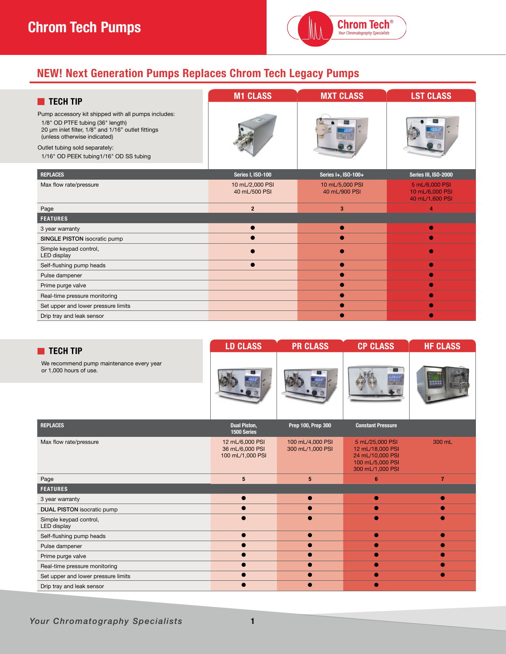

# **NEW! Next Generation Pumps Replaces Chrom Tech Legacy Pumps**

| $\blacksquare$ TECH TIP                                                                                                                                                                                                                                   | <b>M1 CLASS</b>                  | <b>MXT CLASS</b>                                                                                 | <b>LST CLASS</b>                                     |
|-----------------------------------------------------------------------------------------------------------------------------------------------------------------------------------------------------------------------------------------------------------|----------------------------------|--------------------------------------------------------------------------------------------------|------------------------------------------------------|
| Pump accessory kit shipped with all pumps includes:<br>1/8" OD PTFE tubing (36" length)<br>20 µm inlet filter, 1/8" and 1/16" outlet fittings<br>(unless otherwise indicated)<br>Outlet tubing sold separately:<br>1/16" OD PEEK tubing1/16" OD SS tubing |                                  | $\begin{array}{c}\n\mathbf{A} & \mathbf{P} \\ \mathbf{V} & \mathbf{E} & \mathbf{V}\n\end{array}$ |                                                      |
| <b>REPLACES</b>                                                                                                                                                                                                                                           | Series I, ISO-100                | Series I+, ISO-100+                                                                              | Series III, ISO-2000                                 |
| Max flow rate/pressure                                                                                                                                                                                                                                    | 10 mL/2,000 PSI<br>40 mL/500 PSI | 10 mL/5,000 PSI<br>40 mL/900 PSI                                                                 | 5 mL/6,000 PSI<br>10 mL/6,000 PSI<br>40 mL/1,600 PSI |
| Page                                                                                                                                                                                                                                                      | $\overline{2}$                   | 3                                                                                                |                                                      |
| <b>FEATURES</b>                                                                                                                                                                                                                                           |                                  |                                                                                                  |                                                      |
| 3 year warranty                                                                                                                                                                                                                                           |                                  |                                                                                                  |                                                      |
| SINGLE PISTON isocratic pump                                                                                                                                                                                                                              |                                  |                                                                                                  |                                                      |
| Simple keypad control,<br><b>LED</b> display                                                                                                                                                                                                              |                                  |                                                                                                  |                                                      |
| Self-flushing pump heads                                                                                                                                                                                                                                  |                                  | ●                                                                                                |                                                      |
| Pulse dampener                                                                                                                                                                                                                                            |                                  |                                                                                                  |                                                      |
| Prime purge valve                                                                                                                                                                                                                                         |                                  |                                                                                                  |                                                      |
| Real-time pressure monitoring                                                                                                                                                                                                                             |                                  |                                                                                                  |                                                      |
| Set upper and lower pressure limits                                                                                                                                                                                                                       |                                  |                                                                                                  |                                                      |
| Drip tray and leak sensor                                                                                                                                                                                                                                 |                                  |                                                                                                  |                                                      |

| <b>THE TIP</b>                                                     | <b>LD CLASS</b>                                        | <b>PR CLASS</b>                      | <b>CP CLASS</b>                                                                                 | <b>HF CLASS</b> |
|--------------------------------------------------------------------|--------------------------------------------------------|--------------------------------------|-------------------------------------------------------------------------------------------------|-----------------|
| We recommend pump maintenance every year<br>or 1,000 hours of use. |                                                        |                                      | 10 <sup>o</sup><br>50000<br>AP x                                                                | <b>ERES</b>     |
| <b>REPLACES</b>                                                    | <b>Dual Piston,</b><br>1500 Series                     | Prep 100, Prep 300                   | <b>Constant Pressure</b>                                                                        |                 |
| Max flow rate/pressure                                             | 12 mL/6,000 PSI<br>36 mL/6,000 PSI<br>100 mL/1,000 PSI | 100 mL/4,000 PSI<br>300 mL/1,000 PSI | 5 mL/25,000 PSI<br>12 mL/18,000 PSI<br>24 mL/10,000 PSI<br>100 mL/5,000 PSI<br>300 mL/1,000 PSI | 300 mL          |
| Page                                                               | 5                                                      | 5                                    | 6                                                                                               | $\overline{7}$  |
| <b>FEATURES</b>                                                    |                                                        |                                      |                                                                                                 |                 |
| 3 year warranty                                                    |                                                        |                                      |                                                                                                 |                 |
| <b>DUAL PISTON</b> isocratic pump                                  |                                                        |                                      |                                                                                                 | ۰               |
| Simple keypad control,<br><b>LED</b> display                       |                                                        |                                      |                                                                                                 | ۰               |
| Self-flushing pump heads                                           |                                                        |                                      | ●                                                                                               |                 |
| Pulse dampener                                                     |                                                        |                                      |                                                                                                 | ۰               |
| Prime purge valve                                                  |                                                        |                                      |                                                                                                 | ۰               |
| Real-time pressure monitoring                                      |                                                        |                                      |                                                                                                 | $\bullet$       |
| Set upper and lower pressure limits                                |                                                        |                                      |                                                                                                 | $\bullet$       |
| Drip tray and leak sensor                                          |                                                        |                                      |                                                                                                 |                 |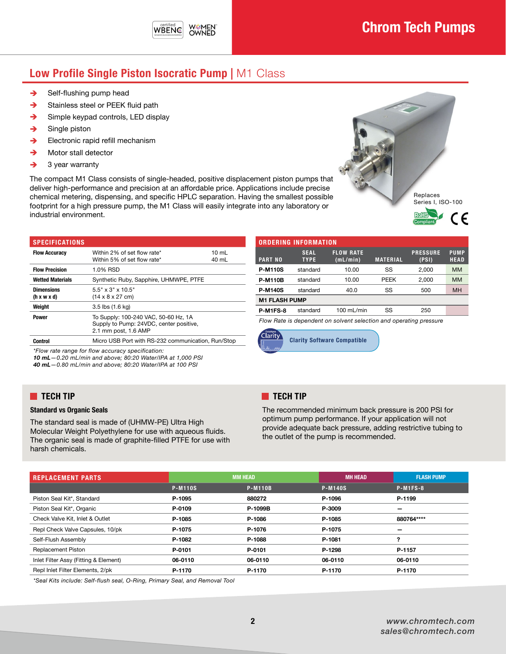Replaces Series I, ISO-100

 $\epsilon$ 

RoHS

## <span id="page-1-0"></span>**Low Profile Single Piston Isocratic Pump** | M1 Class

- Self-flushing pump head →
- Stainless steel or PEEK fluid path Â,
- Simple keypad controls, LED display →
- Single piston →
- Electronic rapid refill mechanism →
- Motor stall detector →
- 3 year warranty Â,

The compact M1 Class consists of single-headed, positive displacement piston pumps that deliver high-performance and precision at an affordable price. Applications include precise chemical metering, dispensing, and specific HPLC separation. Having the smallest possible footprint for a high pressure pump, the M1 Class will easily integrate into any laboratory or industrial environment.

#### **SPECIFICATIONS Flow Accuracy** Within 2% of set flow rate\* Within 5% of set flow rate\* 10 mL 40 mL

| <b>Flow Precision</b>                        | 1.0% RSD                                                                                                |
|----------------------------------------------|---------------------------------------------------------------------------------------------------------|
| <b>Wetted Materials</b>                      | Synthetic Ruby, Sapphire, UHMWPE, PTFE                                                                  |
| <b>Dimensions</b><br>$(h \times w \times d)$ | $5.5" \times 3" \times 10.5"$<br>$(14 \times 8 \times 27$ cm)                                           |
| Weight                                       | 3.5 lbs (1.6 kg)                                                                                        |
| Power                                        | To Supply: 100-240 VAC, 50-60 Hz, 1A<br>Supply to Pump: 24VDC, center positive,<br>2.1 mm post, 1.6 AMP |
| <b>Control</b>                               | Micro USB Port with RS-232 communication, Run/Stop                                                      |
|                                              |                                                                                                         |

*\*Flow rate range for flow accuracy specification:*

*10 mL—0.20 mL/min and above; 80:20 Water/IPA at 1,000 PSI 40 mL—0.80 mL/min and above; 80:20 Water/IPA at 100 PSI*

#### **Standard vs Organic Seals**

The standard seal is made of (UHMW-PE) Ultra High Molecular Weight Polyethylene for use with aqueous fluids. The organic seal is made of graphite-filled PTFE for use with harsh chemicals.

| <b>ORDERING INFORMATION</b> |                            |                              |                 |                          |                            |  |  |
|-----------------------------|----------------------------|------------------------------|-----------------|--------------------------|----------------------------|--|--|
| <b>PART NO</b>              | <b>SEAL</b><br><b>TYPE</b> | <b>FLOW RATE</b><br>(mL/min) | <b>MATERIAL</b> | <b>PRESSURE</b><br>(PSI) | <b>PUMP</b><br><b>HEAD</b> |  |  |
| <b>P-M110S</b>              | standard                   | 10.00                        | SS              | 2.000                    | <b>MM</b>                  |  |  |
| <b>P-M110B</b>              | standard                   | 10.00                        | <b>PEEK</b>     | 2.000                    | <b>MM</b>                  |  |  |
| <b>P-M140S</b>              | standard                   | 40.0                         | SS              | 500                      | <b>MH</b>                  |  |  |
| <b>M1 FLASH PUMP</b>        |                            |                              |                 |                          |                            |  |  |
| <b>P-M1FS-8</b>             | standard                   | 100 mL/min                   | SS              | 250                      |                            |  |  |

*Flow Rate is dependent on solvent selection and operating pressure*



**Clarity Software Compatible**



The recommended minimum back pressure is 200 PSI for optimum pump performance. If your application will not provide adequate back pressure, adding restrictive tubing to the outlet of the pump is recommended.

| <b>REPLACEMENT PARTS</b>              | <b>MM HEAD</b> |                | <b>MH HEAD</b> | <b>FLASH PUMP</b> |
|---------------------------------------|----------------|----------------|----------------|-------------------|
|                                       | <b>P-M110S</b> | <b>P-M110B</b> | <b>P-M140S</b> | <b>P-M1FS-8</b>   |
| Piston Seal Kit*, Standard            | P-1095         | 880272         | P-1096         | P-1199            |
| Piston Seal Kit*, Organic             | P-0109         | P-1099B        | P-3009         |                   |
| Check Valve Kit, Inlet & Outlet       | P-1085         | P-1086         | P-1085         | 880764****        |
| Repl Check Valve Capsules, 10/pk      | P-1075         | P-1076         | P-1075         |                   |
| Self-Flush Assembly                   | P-1082         | P-1088         | P-1081         | 2                 |
| <b>Replacement Piston</b>             | P-0101         | P-0101         | P-1298         | P-1157            |
| Inlet Filter Assy (Fitting & Element) | 06-0110        | 06-0110        | 06-0110        | 06-0110           |
| Repl Inlet Filter Elements, 2/pk      | P-1170         | P-1170         | P-1170         | P-1170            |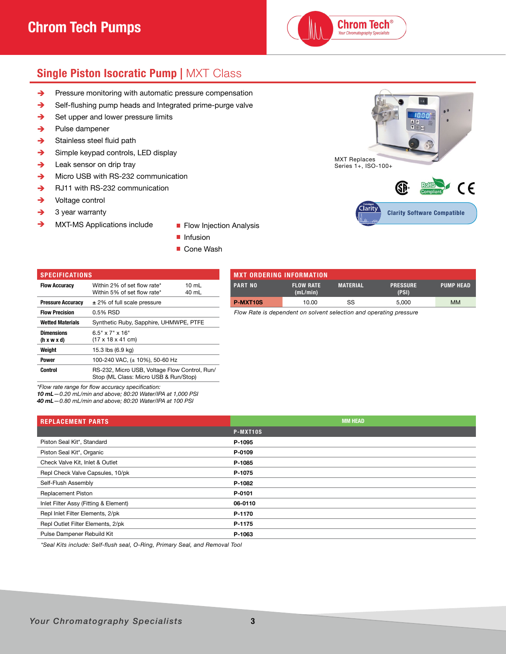# **Chrom Tech Pumps**



# <span id="page-2-0"></span>**Single Piston Isocratic Pump** | MXT Class

- Pressure monitoring with automatic pressure compensation  $\rightarrow$
- Self-flushing pump heads and Integrated prime-purge valve  $\rightarrow$
- Set upper and lower pressure limits  $\rightarrow$
- Pulse dampener  $\rightarrow$
- Stainless steel fluid path  $\rightarrow$
- Simple keypad controls, LED display  $\rightarrow$
- Leak sensor on drip tray  $\rightarrow$
- Micro USB with RS-232 communication  $\rightarrow$
- RJ11 with RS-232 communication →
- Voltage control  $\rightarrow$
- 3 year warranty →
- A MXT-MS Applications include Flow Injection Analysis

*\*Flow rate range for flow accuracy specification:*

*10 mL—0.20 mL/min and above; 80:20 Water/IPA at 1,000 PSI 40 mL—0.80 mL/min and above; 80:20 Water/IPA at 100 PSI*

- 
- **Infusion**
- Cone Wash

| <b>SPECIFICATIONS</b>                        |                                                                                        |  |  |  |  |
|----------------------------------------------|----------------------------------------------------------------------------------------|--|--|--|--|
| <b>Flow Accuracy</b>                         | Within 2% of set flow rate*<br>$10 \text{ mL}$<br>Within 5% of set flow rate*<br>40 mL |  |  |  |  |
| <b>Pressure Accuracy</b>                     | $±$ 2% of full scale pressure                                                          |  |  |  |  |
| <b>Flow Precision</b>                        | 0.5% RSD                                                                               |  |  |  |  |
| <b>Wetted Materials</b>                      | Synthetic Ruby, Sapphire, UHMWPE, PTFE                                                 |  |  |  |  |
| <b>Dimensions</b><br>$(h \times w \times d)$ | $6.5"$ x $7"$ x $16"$<br>$(17 \times 18 \times 41 \text{ cm})$                         |  |  |  |  |
| Weight                                       | 15.3 lbs (6.9 kg)                                                                      |  |  |  |  |
| <b>Power</b>                                 | 100-240 VAC, (± 10%), 50-60 Hz                                                         |  |  |  |  |
| <b>Control</b>                               | RS-232, Micro USB, Voltage Flow Control, Run/<br>Stop (ML Class: Micro USB & Run/Stop) |  |  |  |  |

| <b>MXT ORDERING INFORMATION</b> |                              |                 |                          |                  |  |
|---------------------------------|------------------------------|-----------------|--------------------------|------------------|--|
| <b>PART NO</b>                  | <b>FLOW RATE</b><br>(mL/min) | <b>MATERIAL</b> | <b>PRESSURE</b><br>(PSI) | <b>PUMP HEAD</b> |  |
| P-MXT10S                        | 10.00                        | SS              | 5.000                    | <b>MM</b>        |  |
|                                 |                              |                 |                          |                  |  |

*Flow Rate is dependent on solvent selection and operating pressure*

| <b>REPLACEMENT PARTS</b>              | <b>MM HEAD</b> |
|---------------------------------------|----------------|
|                                       | P-MXT10S       |
| Piston Seal Kit*, Standard            | P-1095         |
| Piston Seal Kit*, Organic             | P-0109         |
| Check Valve Kit, Inlet & Outlet       | P-1085         |
| Repl Check Valve Capsules, 10/pk      | P-1075         |
| Self-Flush Assembly                   | P-1082         |
| Replacement Piston                    | P-0101         |
| Inlet Filter Assy (Fitting & Element) | 06-0110        |
| Repl Inlet Filter Elements, 2/pk      | P-1170         |

Pulse Dampener Rebuild Kit **P-1063** *\*Seal Kits include: Self-flush seal, O-Ring, Primary Seal, and Removal Tool*

Repl Outlet Filter Elements, 2/pk **P-1175**

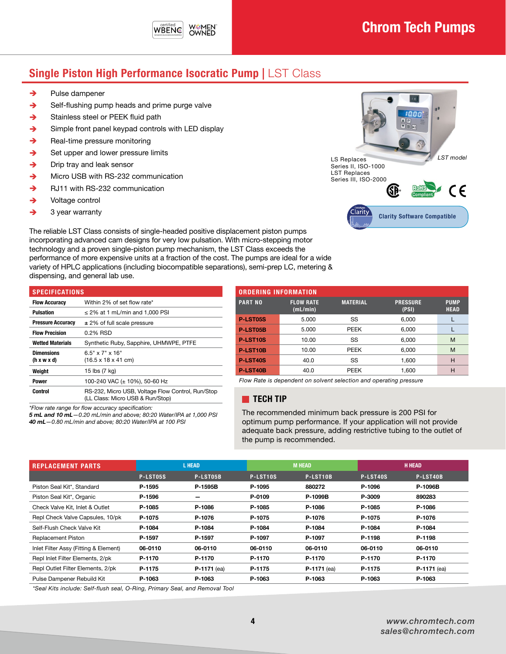

# **Chrom Tech Pumps**

### <span id="page-3-0"></span>**Single Piston High Performance Isocratic Pump** | LST Class

- Pulse dampener →
- Self-flushing pump heads and prime purge valve →
- Stainless steel or PEEK fluid path →
- Simple front panel keypad controls with LED display Š
- Real-time pressure monitoring د
- Set upper and lower pressure limits د
- Drip tray and leak sensor →
- Micro USB with RS-232 communication Š
- RJ11 with RS-232 communication د
- Voltage control →
- 3 year warranty →

The reliable LST Class consists of single-headed positive displacement piston pumps incorporating advanced cam designs for very low pulsation. With micro-stepping motor technology and a proven single-piston pump mechanism, the LST Class exceeds the performance of more expensive units at a fraction of the cost. The pumps are ideal for a wide variety of HPLC applications (including biocompatible separations), semi-prep LC, metering & dispensing, and general lab use.

| <b>SPECIFICATIONS</b>                        |                                                                                       |
|----------------------------------------------|---------------------------------------------------------------------------------------|
| <b>Flow Accuracy</b>                         | Within 2% of set flow rate*                                                           |
| <b>Pulsation</b>                             | $\leq$ 2% at 1 mL/min and 1,000 PSI                                                   |
| <b>Pressure Accuracy</b>                     | $±$ 2% of full scale pressure                                                         |
| <b>Flow Precision</b>                        | 0.2% RSD                                                                              |
| <b>Wetted Materials</b>                      | Synthetic Ruby, Sapphire, UHMWPE, PTFE                                                |
| <b>Dimensions</b><br>$(h \times w \times d)$ | $6.5"$ x $7"$ x $16"$<br>$(16.5 \times 18 \times 41 \text{ cm})$                      |
| Weight                                       | 15 lbs (7 kg)                                                                         |
| Power                                        | 100-240 VAC (± 10%), 50-60 Hz                                                         |
| Control                                      | RS-232, Micro USB, Voltage Flow Control, Run/Stop<br>(LL Class: Micro USB & Run/Stop) |

*\*Flow rate range for flow accuracy specification:*

*5 mL and 10 mL—0.20 mL/min and above; 80:20 Water/IPA at 1,000 PSI 40 mL—0.80 mL/min and above; 80:20 Water/IPA at 100 PSI*

| <b>ORDERING INFORMATION</b> |                              |                 |                          |                            |  |  |
|-----------------------------|------------------------------|-----------------|--------------------------|----------------------------|--|--|
| <b>PART NO</b>              | <b>FLOW RATE</b><br>(mL/min) | <b>MATERIAL</b> | <b>PRESSURE</b><br>(PSI) | <b>PUMP</b><br><b>HEAD</b> |  |  |
| P-LST05S                    | 5.000                        | SS              | 6,000                    |                            |  |  |
| P-LST05B                    | 5.000                        | <b>PEEK</b>     | 6,000                    |                            |  |  |
| P-LST10S                    | 10.00                        | SS              | 6,000                    | M                          |  |  |
| P-LST10B                    | 10.00                        | <b>PEEK</b>     | 6,000                    | M                          |  |  |
| P-LST40S                    | 40.0                         | SS              | 1,600                    | н                          |  |  |
| P-LST40B                    | 40.0                         | <b>PEEK</b>     | 1,600                    | н                          |  |  |

*Flow Rate is dependent on solvent selection and operating pressure*

#### **TECH TIP**

The recommended minimum back pressure is 200 PSI for optimum pump performance. If your application will not provide adequate back pressure, adding restrictive tubing to the outlet of the pump is recommended.

| <b>REPLACEMENT PARTS</b>              | <b>L</b> HEAD |               |          | <b>M HEAD</b> | <b>H HEAD</b> |               |
|---------------------------------------|---------------|---------------|----------|---------------|---------------|---------------|
|                                       | P-LST05S      | P-LST05B      | P-LST10S | P-LST10B      | P-LST40S      | P-LST40B      |
| Piston Seal Kit*, Standard            | P-1595        | P-1595B       | P-1095   | 880272        | P-1096        | P-1096B       |
| Piston Seal Kit*, Organic             | P-1596        |               | P-0109   | P-1099B       | P-3009        | 890283        |
| Check Valve Kit. Inlet & Outlet       | P-1085        | P-1086        | P-1085   | P-1086        | P-1085        | P-1086        |
| Repl Check Valve Capsules, 10/pk      | P-1075        | P-1076        | P-1075   | P-1076        | P-1075        | P-1076        |
| Self-Flush Check Valve Kit            | P-1084        | P-1084        | P-1084   | P-1084        | P-1084        | P-1084        |
| <b>Replacement Piston</b>             | P-1597        | P-1597        | P-1097   | P-1097        | P-1198        | P-1198        |
| Inlet Filter Assy (Fitting & Element) | 06-0110       | 06-0110       | 06-0110  | 06-0110       | 06-0110       | 06-0110       |
| Repl Inlet Filter Elements, 2/pk      | P-1170        | P-1170        | P-1170   | P-1170        | P-1170        | P-1170        |
| Repl Outlet Filter Elements, 2/pk     | P-1175        | $P-1171$ (ea) | P-1175   | $P-1171$ (ea) | P-1175        | $P-1171$ (ea) |
| Pulse Dampener Rebuild Kit            | P-1063        | P-1063        | P-1063   | P-1063        | P-1063        | P-1063        |



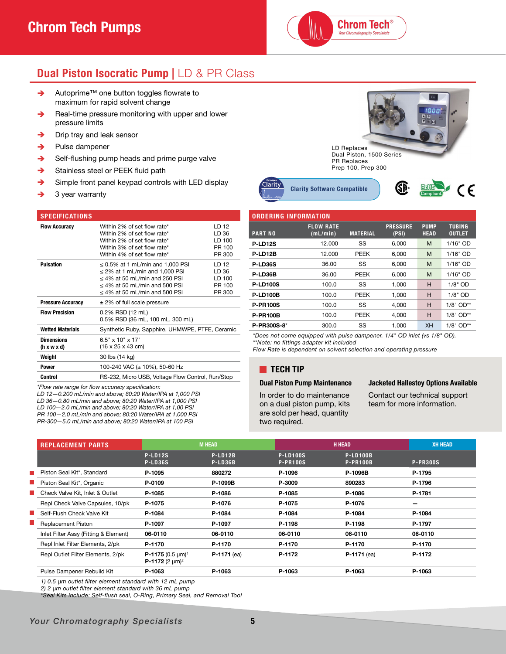

## <span id="page-4-0"></span>**Dual Piston Isocratic Pump** | LD & PR Class

- Autoprime™ one button toggles flowrate to maximum for rapid solvent change →
- Real-time pressure monitoring with upper and lower pressure limits ÷,
- Drip tray and leak sensor  $\blacktriangle$
- Pulse dampener →
- Self-flushing pump heads and prime purge valve →
- Stainless steel or PEEK fluid path ÷,
- Simple front panel keypad controls with LED display د
- 3 year warranty →

#### **SPECIFICATIONS**

| JI LUII IUMI IUNJ                            |                                                                                                                                                                                          |                                              |
|----------------------------------------------|------------------------------------------------------------------------------------------------------------------------------------------------------------------------------------------|----------------------------------------------|
| <b>Flow Accuracy</b>                         | Within 2% of set flow rate*<br>Within 2% of set flow rate*<br>Within 2% of set flow rate*<br>Within 3% of set flow rate*<br>Within 4% of set flow rate*                                  | LD 12<br>LD 36<br>LD 100<br>PR 100<br>PR 300 |
| <b>Pulsation</b>                             | $\leq$ 0.5% at 1 mL/min and 1,000 PSI<br>$\leq$ 2% at 1 mL/min and 1.000 PSI<br>$<$ 4% at 50 mL/min and 250 PSI<br>$<$ 4% at 50 mL/min and 500 PSI<br>$\leq$ 4% at 50 mL/min and 500 PSI | LD 12<br>LD 36<br>LD 100<br>PR 100<br>PR 300 |
| <b>Pressure Accuracy</b>                     | $±$ 2% of full scale pressure                                                                                                                                                            |                                              |
| <b>Flow Precision</b>                        | 0.2% RSD (12 mL)<br>0.5% RSD (36 mL, 100 mL, 300 mL)                                                                                                                                     |                                              |
| <b>Wetted Materials</b>                      | Synthetic Ruby, Sapphire, UHMWPE, PTFE, Ceramic                                                                                                                                          |                                              |
| <b>Dimensions</b><br>$(h \times w \times d)$ | $6.5" \times 10" \times 17"$<br>$(16 \times 25 \times 43 \text{ cm})$                                                                                                                    |                                              |
| Weight                                       | 30 lbs (14 kg)                                                                                                                                                                           |                                              |
| Power                                        | 100-240 VAC (± 10%), 50-60 Hz                                                                                                                                                            |                                              |
| <b>Control</b>                               | RS-232, Micro USB, Voltage Flow Control, Run/Stop                                                                                                                                        |                                              |

*\*Flow rate range for flow accuracy specification:*

- *LD 12—0.200 mL/min and above; 80:20 Water/IPA at 1,000 PSI LD 36—0.80 mL/min and above; 80:20 Water/IPA at 1,000 PSI*
- *LD 100—2.0 mL/min and above; 80:20 Water/IPA at 1,00 PSI*
- *PR 100—2.0 mL/min and above; 80:20 Water/IPA at 1,000 PSI*
- *PR-300—5.0 mL/min and above; 80:20 Water/IPA at 100 PSI*





#### **ORDERING INFORMATION**

| <b>PART NO</b>  | <b>FLOW RATE</b><br>(mL/min) | <b>MATERIAL</b> | <b>PRESSURE</b><br>(PSI) | <b>PUMP</b><br><b>HEAD</b> | <b>TUBING</b><br><b>OUTLET</b> |
|-----------------|------------------------------|-----------------|--------------------------|----------------------------|--------------------------------|
| <b>P-LD12S</b>  | 12.000                       | SS              | 6.000                    | M                          | $1/16"$ OD                     |
| P-LD12B         | 12.000                       | <b>PEEK</b>     | 6.000                    | M                          | $1/16"$ OD                     |
| P-LD36S         | 36.00                        | SS              | 6.000                    | M                          | $1/16"$ OD                     |
| P-LD36B         | 36.00                        | <b>PEEK</b>     | 6.000                    | M                          | $1/16"$ OD                     |
| <b>P-LD100S</b> | 100.0                        | SS              | 1.000                    | H                          | $1/8"$ OD                      |
| <b>P-LD100B</b> | 100.0                        | <b>PEEK</b>     | 1.000                    | н                          | 1/8" OD                        |
| <b>P-PR100S</b> | 100.0                        | SS              | 4,000                    | н                          | $1/8"$ OD**                    |
| <b>P-PR100B</b> | 100.0                        | <b>PEEK</b>     | 4.000                    | н                          | $1/8"$ OD**                    |
| P-PR300S-8*     | 300.0                        | SS              | 1.000                    | <b>XH</b>                  | $1/8"$ OD**                    |

*\*Does not come equipped with pulse dampener. 1/4" OD inlet (vs 1/8" OD). \*\*Note: no fittings adapter kit included*

*Flow Rate is dependent on solvent selection and operating pressure*

### **TECH TIP**

#### **Dual Piston Pump Maintenance**

In order to do maintenance on a dual piston pump, kits are sold per head, quantity two required.

#### **Jacketed Hallestoy Options Available**

Contact our technical support team for more information.

| <b>REPLACEMENT PARTS</b>              |                                                                                    | <b>M HEAD</b>                    |                                    | <b>H HEAD</b>                      | <b>XH HEAD</b>           |
|---------------------------------------|------------------------------------------------------------------------------------|----------------------------------|------------------------------------|------------------------------------|--------------------------|
|                                       | <b>P-LD12S</b><br><b>P-LD36S</b>                                                   | <b>P-LD12B</b><br><b>P-LD36B</b> | <b>P-LD100S</b><br><b>P-PR100S</b> | <b>P-LD100B</b><br><b>P-PR100B</b> | <b>P-PR300S</b>          |
| Piston Seal Kit*, Standard            | P-1095                                                                             | 880272                           | P-1096                             | P-1096B                            | P-1795                   |
| Piston Seal Kit*, Organic             | P-0109                                                                             | P-1099B                          | P-3009                             | 890283                             | P-1796                   |
| Check Valve Kit, Inlet & Outlet       | P-1085                                                                             | P-1086                           | P-1085                             | P-1086                             | P-1781                   |
| Repl Check Valve Capsules, 10/pk      | P-1075                                                                             | P-1076                           | P-1075                             | P-1076                             | $\overline{\phantom{0}}$ |
| Self-Flush Check Valve Kit            | P-1084                                                                             | P-1084                           | P-1084                             | P-1084                             | P-1084                   |
| <b>Replacement Piston</b>             | P-1097                                                                             | P-1097                           | P-1198                             | P-1198                             | P-1797                   |
| Inlet Filter Assy (Fitting & Element) | 06-0110                                                                            | 06-0110                          | 06-0110                            | 06-0110                            | 06-0110                  |
| Repl Inlet Filter Elements, 2/pk      | P-1170                                                                             | P-1170                           | P-1170                             | P-1170                             | P-1170                   |
| Repl Outlet Filter Elements, 2/pk     | <b>P-1175</b> (0.5 $\mu$ m) <sup>1</sup><br><b>P-1172</b> (2 $\mu$ m) <sup>2</sup> | $P-1171$ (ea)                    | P-1172                             | $P-1171$ (ea)                      | P-1172                   |
| Pulse Dampener Rebuild Kit            | P-1063                                                                             | P-1063                           | P-1063                             | P-1063                             | P-1063                   |

*1) 0.5* µ*m outlet filter element standard with 12 mL pump* 

*2) 2* µ*m outlet filter element standard with 36 mL pump*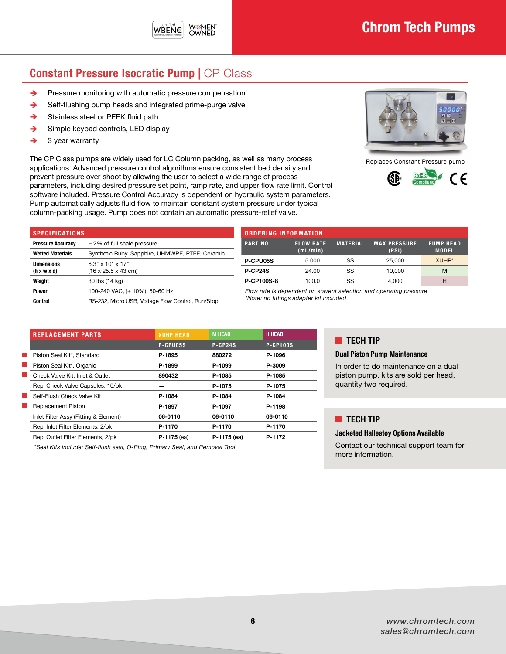

# <span id="page-5-0"></span>**Constant Pressure Isocratic Pump** | CP Class

- Pressure monitoring with automatic pressure compensation →
- Self-flushing pump heads and integrated prime-purge valve Â,
- Stainless steel or PEEK fluid path ᄾ
- Simple keypad controls, LED display →
- 3 year warranty ▵

The CP Class pumps are widely used for LC Column packing, as well as many process applications. Advanced pressure control algorithms ensure consistent bed density and prevent pressure over-shoot by allowing the user to select a wide range of process parameters, including desired pressure set point, ramp rate, and upper flow rate limit. Control software included. Pressure Control Accuracy is dependent on hydraulic system parameters. Pump automatically adjusts fluid flow to maintain constant system pressure under typical column-packing usage. Pump does not contain an automatic pressure-relief valve.



Replaces Constant Pressure pump



| <b>SPECIFICATIONS</b>            |                                                                         |
|----------------------------------|-------------------------------------------------------------------------|
| <b>Pressure Accuracy</b>         | $±$ 2% of full scale pressure                                           |
| <b>Wetted Materials</b>          | Synthetic Ruby, Sapphire, UHMWPE, PTFE, Ceramic                         |
| <b>Dimensions</b><br>(h x w x d) | $6.3" \times 10" \times 17"$<br>$(16 \times 25.5 \times 43 \text{ cm})$ |
| Weight                           | 30 lbs (14 kg)                                                          |
| Power                            | 100-240 VAC, (± 10%), 50-60 Hz                                          |
| <b>Control</b>                   | RS-232, Micro USB, Voltage Flow Control, Run/Stop                       |

|                   | <b>ORDERING INFORMATION</b>  |                 |                              |                                  |  |
|-------------------|------------------------------|-----------------|------------------------------|----------------------------------|--|
| <b>PART NO</b>    | <b>FLOW RATE</b><br>(mL/min) | <b>MATERIAL</b> | <b>MAX PRESSURE</b><br>(PSI) | <b>PUMP HEAD</b><br><b>MODEL</b> |  |
| P-CPU05S          | 5.000                        | SS              | 25,000                       | XUHP*                            |  |
| P-CP24S           | 24.00                        | SS              | 10.000                       | М                                |  |
| <b>P-CP100S-8</b> | 100.0                        | SS              | 4.000                        | н                                |  |
|                   |                              |                 |                              |                                  |  |

*Flow rate is dependent on solvent selection and operating pressure \*Note: no fittings adapter kit included*

| <b>REPLACEMENT PARTS</b>              | <b>XUHP HEAD</b> | <b>M HEAD</b> | <b>H HEAD</b>   |
|---------------------------------------|------------------|---------------|-----------------|
|                                       | P-CPU05S         | $P-CP24S$     | <b>P-CP100S</b> |
| Piston Seal Kit*, Standard            | P-1895           | 880272        | P-1096          |
| Piston Seal Kit*, Organic             | P-1899           | P-1099        | P-3009          |
| Check Valve Kit, Inlet & Outlet       | 890432           | P-1085        | P-1085          |
| Repl Check Valve Capsules, 10/pk      |                  | P-1075        | P-1075          |
| Self-Flush Check Valve Kit            | P-1084           | P-1084        | P-1084          |
| <b>Replacement Piston</b>             | P-1897           | P-1097        | P-1198          |
| Inlet Filter Assy (Fitting & Element) | 06-0110          | 06-0110       | 06-0110         |
| Repl Inlet Filter Elements, 2/pk      | P-1170           | P-1170        | P-1170          |
| Repl Outlet Filter Elements, 2/pk     | $P-1175$ (ea)    | P-1175 (ea)   | P-1172          |
|                                       |                  |               |                 |

*\*Seal Kits include: Self-flush seal, O-Ring, Primary Seal, and Removal Tool*

### **TECH TIP**

#### **Dual Piston Pump Maintenance**

In order to do maintenance on a dual piston pump, kits are sold per head, quantity two required.

### **TECH TIP**

#### **Jacketed Hallestoy Options Available**

Contact our technical support team for more information.